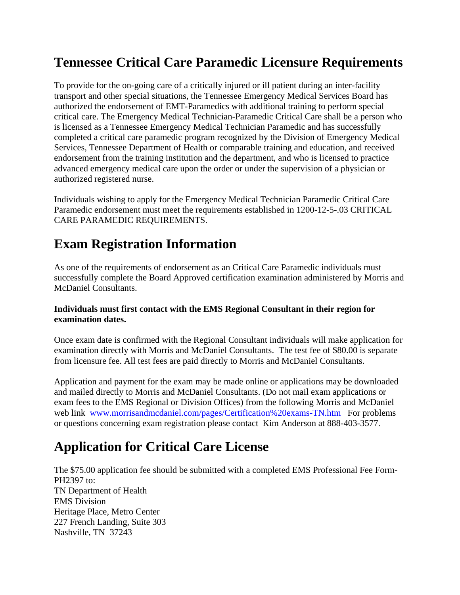## **Tennessee Critical Care Paramedic Licensure Requirements**

To provide for the on-going care of a critically injured or ill patient during an inter-facility transport and other special situations, the Tennessee Emergency Medical Services Board has authorized the endorsement of EMT-Paramedics with additional training to perform special critical care. The Emergency Medical Technician-Paramedic Critical Care shall be a person who is licensed as a Tennessee Emergency Medical Technician Paramedic and has successfully completed a critical care paramedic program recognized by the Division of Emergency Medical Services, Tennessee Department of Health or comparable training and education, and received endorsement from the training institution and the department, and who is licensed to practice advanced emergency medical care upon the order or under the supervision of a physician or authorized registered nurse.

Individuals wishing to apply for the Emergency Medical Technician Paramedic Critical Care Paramedic endorsement must meet the requirements established in 1200-12-5-.03 CRITICAL CARE PARAMEDIC REQUIREMENTS.

## **Exam Registration Information**

As one of the requirements of endorsement as an Critical Care Paramedic individuals must successfully complete the Board Approved certification examination administered by Morris and McDaniel Consultants.

## **Individuals must first contact with the EMS Regional Consultant in their region for examination dates.**

Once exam date is confirmed with the Regional Consultant individuals will make application for examination directly with Morris and McDaniel Consultants. The test fee of \$80.00 is separate from licensure fee. All test fees are paid directly to Morris and McDaniel Consultants.

Application and payment for the exam may be made online or applications may be downloaded and mailed directly to Morris and McDaniel Consultants. (Do not mail exam applications or exam fees to the EMS Regional or Division Offices) from the following Morris and McDaniel web link www.morrisandmcdaniel.com/pages/Certification%20exams-TN.htm For problems or questions concerning exam registration please contact Kim Anderson at 888-403-3577.

## **Application for Critical Care License**

The \$75.00 application fee should be submitted with a completed EMS Professional Fee Form-PH2397 to: TN Department of Health EMS Division Heritage Place, Metro Center 227 French Landing, Suite 303 Nashville, TN 37243